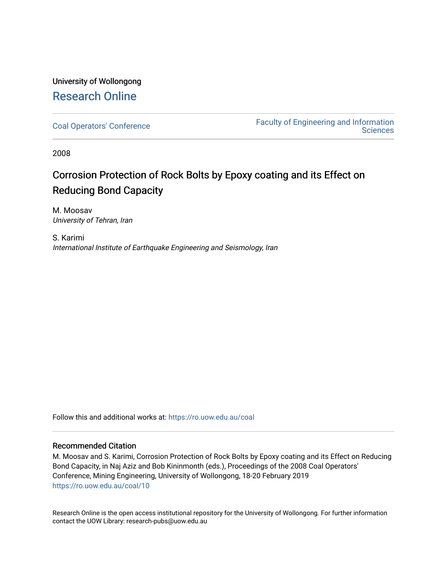# University of Wollongong [Research Online](https://ro.uow.edu.au/)

[Coal Operators' Conference](https://ro.uow.edu.au/coal) [Faculty of Engineering and Information](https://ro.uow.edu.au/eis)  **Sciences** 

2008

# Corrosion Protection of Rock Bolts by Epoxy coating and its Effect on Reducing Bond Capacity

M. Moosav University of Tehran, Iran

S. Karimi International Institute of Earthquake Engineering and Seismology, Iran

Follow this and additional works at: [https://ro.uow.edu.au/coal](https://ro.uow.edu.au/coal?utm_source=ro.uow.edu.au%2Fcoal%2F10&utm_medium=PDF&utm_campaign=PDFCoverPages) 

## Recommended Citation

M. Moosav and S. Karimi, Corrosion Protection of Rock Bolts by Epoxy coating and its Effect on Reducing Bond Capacity, in Naj Aziz and Bob Kininmonth (eds.), Proceedings of the 2008 Coal Operators' Conference, Mining Engineering, University of Wollongong, 18-20 February 2019 [https://ro.uow.edu.au/coal/10](https://ro.uow.edu.au/coal/10?utm_source=ro.uow.edu.au%2Fcoal%2F10&utm_medium=PDF&utm_campaign=PDFCoverPages) 

Research Online is the open access institutional repository for the University of Wollongong. For further information contact the UOW Library: research-pubs@uow.edu.au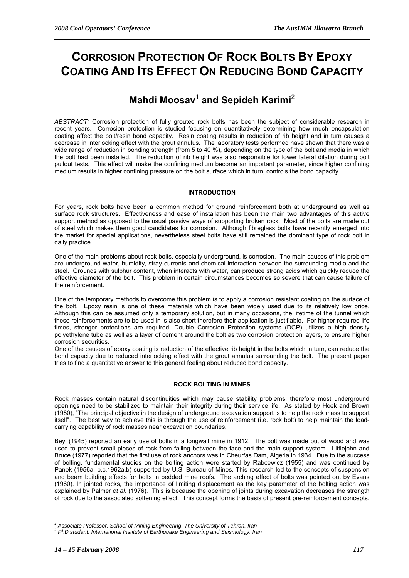# **CORROSION PROTECTION OF ROCK BOLTS BY EPOXY COATING AND ITS EFFECT ON REDUCING BOND CAPACITY**

# **Mahdi Moosav**<sup>1</sup> **and Sepideh Karimi**<sup>2</sup>

*ABSTRACT:* Corrosion protection of fully grouted rock bolts has been the subject of considerable research in recent years. Corrosion protection is studied focusing on quantitatively determining how much encapsulation coating affect the bolt/resin bond capacity. Resin coating results in reduction of rib height and in turn causes a decrease in interlocking effect with the grout annulus. The laboratory tests performed have shown that there was a wide range of reduction in bonding strength (from 5 to 40 %), depending on the type of the bolt and media in which the bolt had been installed. The reduction of rib height was also responsible for lower lateral dilation during bolt pullout tests. This effect will make the confining medium become an important parameter, since higher confining medium results in higher confining pressure on the bolt surface which in turn, controls the bond capacity.

## **INTRODUCTION**

For years, rock bolts have been a common method for ground reinforcement both at underground as well as surface rock structures. Effectiveness and ease of installation has been the main two advantages of this active support method as opposed to the usual passive ways of supporting broken rock. Most of the bolts are made out of steel which makes them good candidates for corrosion. Although fibreglass bolts have recently emerged into the market for special applications, nevertheless steel bolts have still remained the dominant type of rock bolt in daily practice.

One of the main problems about rock bolts, especially underground, is corrosion. The main causes of this problem are underground water, humidity, stray currents and chemical interaction between the surrounding media and the steel. Grounds with sulphur content, when interacts with water, can produce strong acids which quickly reduce the effective diameter of the bolt. This problem in certain circumstances becomes so severe that can cause failure of the reinforcement.

One of the temporary methods to overcome this problem is to apply a corrosion resistant coating on the surface of the bolt. Epoxy resin is one of these materials which have been widely used due to its relatively low price. Although this can be assumed only a temporary solution, but in many occasions, the lifetime of the tunnel which these reinforcements are to be used in is also short therefore their application is justifiable. For higher required life times, stronger protections are required. Double Corrosion Protection systems (DCP) utilizes a high density polyethylene tube as well as a layer of cement around the bolt as two corrosion protection layers, to ensure higher corrosion securities.

One of the causes of epoxy coating is reduction of the effective rib height in the bolts which in turn, can reduce the bond capacity due to reduced interlocking effect with the grout annulus surrounding the bolt. The present paper tries to find a quantitative answer to this general feeling about reduced bond capacity.

## **ROCK BOLTING IN MINES**

Rock masses contain natural discontinuities which may cause stability problems, therefore most underground openings need to be stabilized to maintain their integrity during their service life. As stated by Hoek and Brown (1980), "The principal objective in the design of underground excavation support is to help the rock mass to support itself". The best way to achieve this is through the use of reinforcement (i.e. rock bolt) to help maintain the loadcarrying capability of rock masses near excavation boundaries.

Beyl (1945) reported an early use of bolts in a longwall mine in 1912. The bolt was made out of wood and was used to prevent small pieces of rock from falling between the face and the main support system. Littlejohn and Bruce (1977) reported that the first use of rock anchors was in Cheurfas Dam, Algeria in 1934. Due to the success of bolting, fundamental studies on the bolting action were started by Rabcewicz (1955) and was continued by Panek (1956a, b,c,1962a,b) supported by U.S. Bureau of Mines. This research led to the concepts of suspension and beam building effects for bolts in bedded mine roofs. The arching effect of bolts was pointed out by Evans (1960). In jointed rocks, the importance of limiting displacement as the key parameter of the bolting action was explained by Palmer *et al*. (1976). This is because the opening of joints during excavation decreases the strength of rock due to the associated softening effect. This concept forms the basis of present pre-reinforcement concepts.

 $\overline{a}$ 

<sup>&</sup>lt;sup>1</sup> Associate Professor, School of Mining Engineering, The University of Tehran, Iran 22<br>2005 Audent International Institute of Ferthauglic Engineering and Sciemalagy Ira

*PhD student, International Institute of Earthquake Engineering and Seismology, Iran*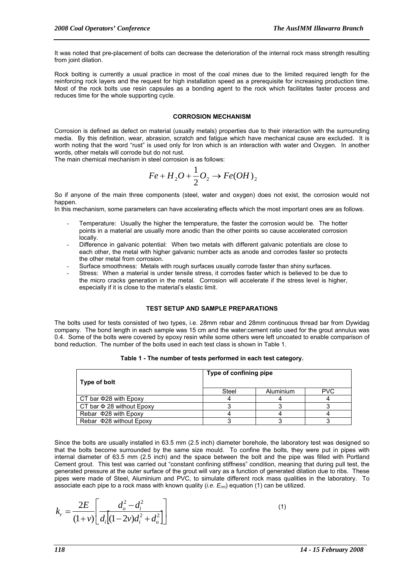It was noted that pre-placement of bolts can decrease the deterioration of the internal rock mass strength resulting from joint dilation.

Rock bolting is currently a usual practice in most of the coal mines due to the limited required length for the reinforcing rock layers and the request for high installation speed as a prerequisite for increasing production time. Most of the rock bolts use resin capsules as a bonding agent to the rock which facilitates faster process and reduces time for the whole supporting cycle.

#### **CORROSION MECHANISM**

Corrosion is defined as defect on material (usually metals) properties due to their interaction with the surrounding media. By this definition, wear, abrasion, scratch and fatigue which have mechanical cause are excluded. It is worth noting that the word "rust" is used only for Iron which is an interaction with water and Oxygen. In another words, other metals will corrode but do not rust.

The main chemical mechanism in steel corrosion is as follows:

$$
Fe + H_2O + \frac{1}{2}O_2 \rightarrow Fe(OH)_2
$$

So if anyone of the main three components (steel, water and oxygen) does not exist, the corrosion would not hannen

In this mechanism, some parameters can have accelerating effects which the most important ones are as follows.

- Temperature: Usually the higher the temperature, the faster the corrosion would be. The hotter points in a material are usually more anodic than the other points so cause accelerated corrosion locally.
- Difference in galvanic potential: When two metals with different galvanic potentials are close to each other, the metal with higher galvanic number acts as anode and corrodes faster so protects the other metal from corrosion.
- Surface smoothness: Metals with rough surfaces usually corrode faster than shiny surfaces.
- Stress: When a material is under tensile stress, it corrodes faster which is believed to be due to the micro cracks generation in the metal. Corrosion will accelerate if the stress level is higher, especially if it is close to the material's elastic limit.

#### **TEST SETUP AND SAMPLE PREPARATIONS**

The bolts used for tests consisted of two types, i.e. 28mm rebar and 28mm continuous thread bar from Dywidag company. The bond length in each sample was 15 cm and the water:cement ratio used for the grout annulus was 0.4. Some of the bolts were covered by epoxy resin while some others were left uncoated to enable comparison of bond reduction. The number of the bolts used in each test class is shown in Table 1.

| Type of bolt                   | Type of confining pipe |           |            |  |  |
|--------------------------------|------------------------|-----------|------------|--|--|
|                                | Steel                  | Aluminium | <b>PVC</b> |  |  |
| CT bar $\Phi$ 28 with Epoxy    |                        |           |            |  |  |
| CT bar $\Phi$ 28 without Epoxy |                        |           |            |  |  |
| Rebar $\Phi$ 28 with Epoxy     |                        |           |            |  |  |
| Rebar $\Phi$ 28 without Epoxy  |                        |           |            |  |  |

**Table 1 - The number of tests performed in each test category.** 

Since the bolts are usually installed in 63.5 mm (2.5 inch) diameter borehole, the laboratory test was designed so that the bolts become surrounded by the same size mould. To confine the bolts, they were put in pipes with internal diameter of 63.5 mm (2.5 inch) and the space between the bolt and the pipe was filled with Portland Cement grout. This test was carried out "constant confining stiffness" condition, meaning that during pull test, the generated pressure at the outer surface of the grout will vary as a function of generated dilation due to ribs. These pipes were made of Steel, Aluminium and PVC, to simulate different rock mass qualities in the laboratory. To associate each pipe to a rock mass with known quality (*i.e. Erm*) equation (1) can be utilized.

$$
k_r = \frac{2E}{(1+v)} \left[ \frac{d_o^2 - d_i^2}{d_i \left[ (1-2v)d_i^2 + d_o^2 \right]} \right]
$$

 $(1)$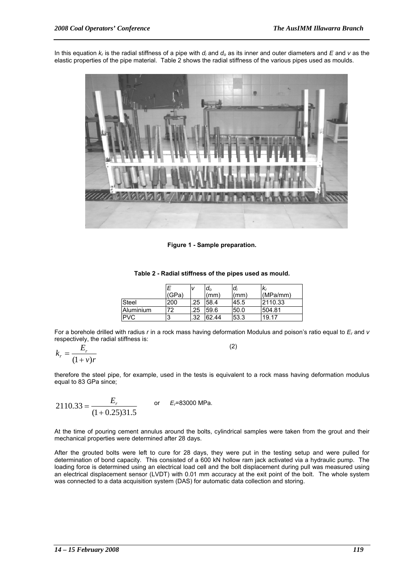In this equation *kr* is the radial stiffness of a pipe with *di* and *do* as its inner and outer diameters and *E* and *v* as the elastic properties of the pipe material. Table 2 shows the radial stiffness of the various pipes used as moulds.



**Figure 1 - Sample preparation.** 

**Table 2 - Radial stiffness of the pipes used as mould.** 

|            | 'GPa` |     | $d_0$<br>(mm) | $a_i$<br>(mm) | (MPa/mm) |
|------------|-------|-----|---------------|---------------|----------|
| Steel      | 200   | .25 | 58.4          | 45.5          | 2110.33  |
| Aluminium  | 72    | .25 | 59.6          | 50.0          | 504.81   |
| <b>PVC</b> |       | .32 | 62.44         | 53.3          | 19.17    |

For a borehole drilled with radius *r* in a rock mass having deformation Modulus and poison's ratio equal to *Er* and *v* respectively, the radial stiffness is:

$$
k_r = \frac{E_r}{(1+v)r}
$$
 (2)

therefore the steel pipe, for example, used in the tests is equivalent to a rock mass having deformation modulus equal to 83 GPa since;

$$
2110.33 = \frac{E_r}{(1+0.25)31.5}
$$
 or  $E_{\tau}$ =83000 MPa.

At the time of pouring cement annulus around the bolts, cylindrical samples were taken from the grout and their mechanical properties were determined after 28 days.

After the grouted bolts were left to cure for 28 days, they were put in the testing setup and were pulled for determination of bond capacity. This consisted of a 600 kN hollow ram jack activated via a hydraulic pump. The loading force is determined using an electrical load cell and the bolt displacement during pull was measured using an electrical displacement sensor (LVDT) with 0.01 mm accuracy at the exit point of the bolt. The whole system was connected to a data acquisition system (DAS) for automatic data collection and storing.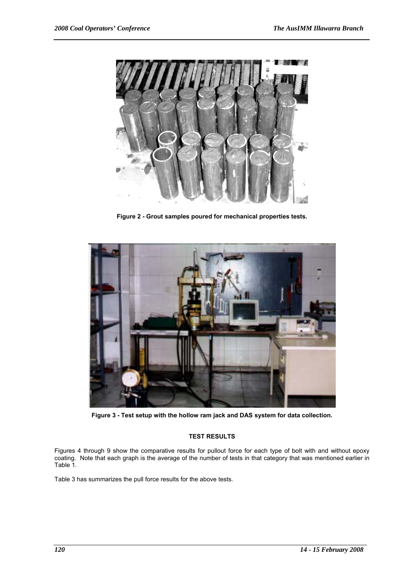

**Figure 2 - Grout samples poured for mechanical properties tests.** 



**Figure 3 - Test setup with the hollow ram jack and DAS system for data collection.** 

## **TEST RESULTS**

Figures 4 through 9 show the comparative results for pullout force for each type of bolt with and without epoxy coating. Note that each graph is the average of the number of tests in that category that was mentioned earlier in Table 1.

Table 3 has summarizes the pull force results for the above tests.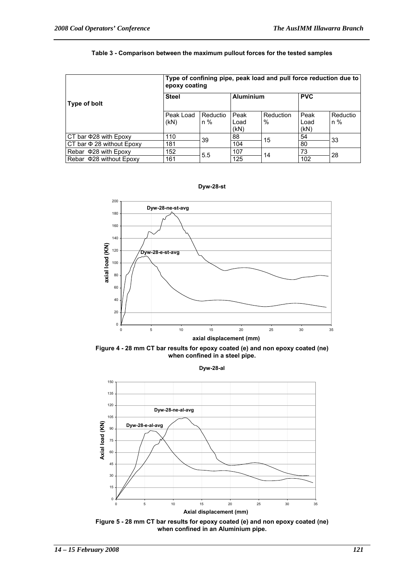#### **Table 3 - Comparison between the maximum pullout forces for the tested samples**

|                                | Type of confining pipe, peak load and pull force reduction due to<br>epoxy coating |                   |                      |                   |                      |                   |  |
|--------------------------------|------------------------------------------------------------------------------------|-------------------|----------------------|-------------------|----------------------|-------------------|--|
| Type of bolt                   | <b>Steel</b>                                                                       |                   | <b>Aluminium</b>     |                   | <b>PVC</b>           |                   |  |
|                                | Peak Load<br>(KN)                                                                  | Reductio<br>$n\%$ | Peak<br>Load<br>(KN) | Reduction<br>$\%$ | Peak<br>Load<br>(kN) | Reductio<br>$n\%$ |  |
| CT bar $\Phi$ 28 with Epoxy    | 110                                                                                | 39                | 88                   | 15                | 54                   | 33                |  |
| CT bar $\Phi$ 28 without Epoxy | 181                                                                                |                   | 104                  |                   | 80                   |                   |  |
| Rebar $\Phi$ 28 with Epoxy     | 152                                                                                | 5.5               | 107                  | 14                | 73                   | 28                |  |
| Rebar $\Phi$ 28 without Epoxy  | 161                                                                                |                   | 125                  |                   | 102                  |                   |  |



**Figure 4 - 28 mm CT bar results for epoxy coated (e) and non epoxy coated (ne) when confined in a steel pipe.** 

**Dyw-28-al**



**Figure 5 - 28 mm CT bar results for epoxy coated (e) and non epoxy coated (ne) when confined in an Aluminium pipe.** 

**Dyw-28-st**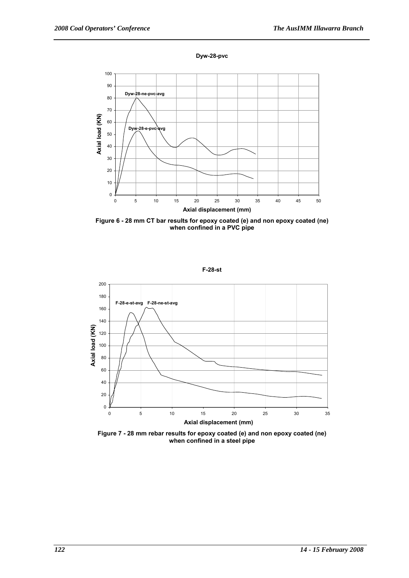



**Figure 6 - 28 mm CT bar results for epoxy coated (e) and non epoxy coated (ne) when confined in a PVC pipe** 



**Figure 7 - 28 mm rebar results for epoxy coated (e) and non epoxy coated (ne) when confined in a steel pipe**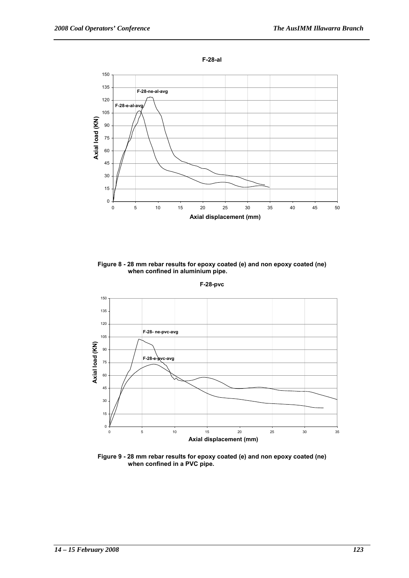

**Figure 8 - 28 mm rebar results for epoxy coated (e) and non epoxy coated (ne) when confined in aluminium pipe.** 



**Figure 9 - 28 mm rebar results for epoxy coated (e) and non epoxy coated (ne) when confined in a PVC pipe.** 

**F-28-pvc**